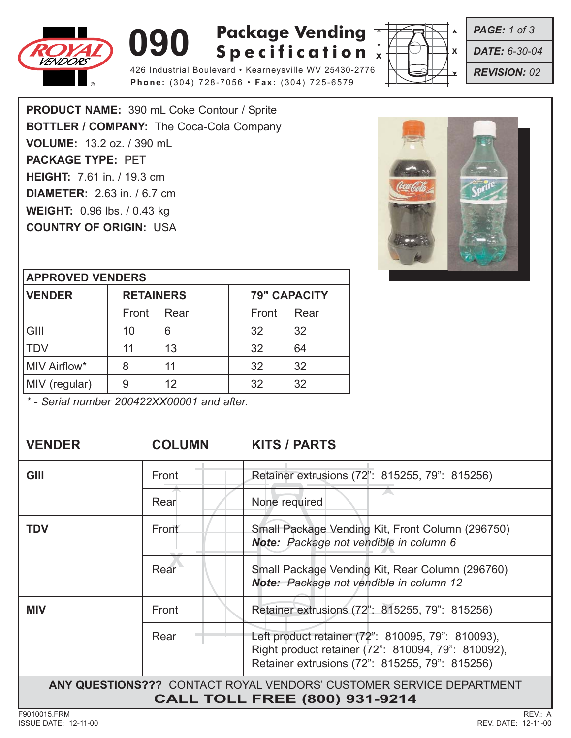

# **090 Rackage Vending**<br> **Specification Package Vending**

426 Industrial Boulevard • Kearneysville WV 25430-2776 **Phone:** (304) 728-7056 • **Fax:** (304) 725-6579



*PAGE: 1 of 3*

*DATE: 6-30-04*

*REVISION: 02*

**PRODUCT NAME:** 390 mL Coke Contour / Sprite **BOTTLER / COMPANY:** The Coca-Cola Company **VOLUME:** 13.2 oz. / 390 mL **PACKAGE TYPE:** PET **HEIGHT:** 7.61 in. / 19.3 cm **DIAMETER:** 2.63 in. / 6.7 cm **WEIGHT:** 0.96 lbs. / 0.43 kg **COUNTRY OF ORIGIN:** USA



### **APPROVED VENDERS**

| <b>VENDER</b> | <b>RETAINERS</b> |      | <b>79" CAPACITY</b> |      |
|---------------|------------------|------|---------------------|------|
|               | Front            | Rear | Front               | Rear |
| GIII          | 10               |      | 32                  | 32   |
| <b>ITDV</b>   | 11               | 13   | 32                  | 64   |
| MIV Airflow*  |                  | 11   | 32                  | 32   |
| MIV (regular) |                  | 12   | 32                  | 32   |

*\* - Serial number 200422XX00001 and after.*

**VENDER COLUMN KITS / PARTS**

| GIII                                                                | Front | Retainer extrusions (72": 815255, 79": 815256)                                                                                                            |  |  |
|---------------------------------------------------------------------|-------|-----------------------------------------------------------------------------------------------------------------------------------------------------------|--|--|
|                                                                     | Rear  | None required                                                                                                                                             |  |  |
| TDV                                                                 | Front | Small Package Vending Kit, Front Column (296750)<br>Note: Package not vendible in column 6                                                                |  |  |
|                                                                     | Rear  | Small Package Vending Kit, Rear Column (296760)<br>Note: Package not vendible in column 12                                                                |  |  |
| <b>MIV</b>                                                          | Front | Retainer extrusions (72": 815255, 79": 815256)                                                                                                            |  |  |
|                                                                     | Rear  | Left product retainer (72": 810095, 79": 810093),<br>Right product retainer (72": 810094, 79": 810092),<br>Retainer extrusions (72": 815255, 79": 815256) |  |  |
| ANY QUESTIONS??? CONTACT ROYAL VENDORS' CUSTOMER SERVICE DEPARTMENT |       |                                                                                                                                                           |  |  |
| <b>CALL TOLL FREE (800) 931-9214</b>                                |       |                                                                                                                                                           |  |  |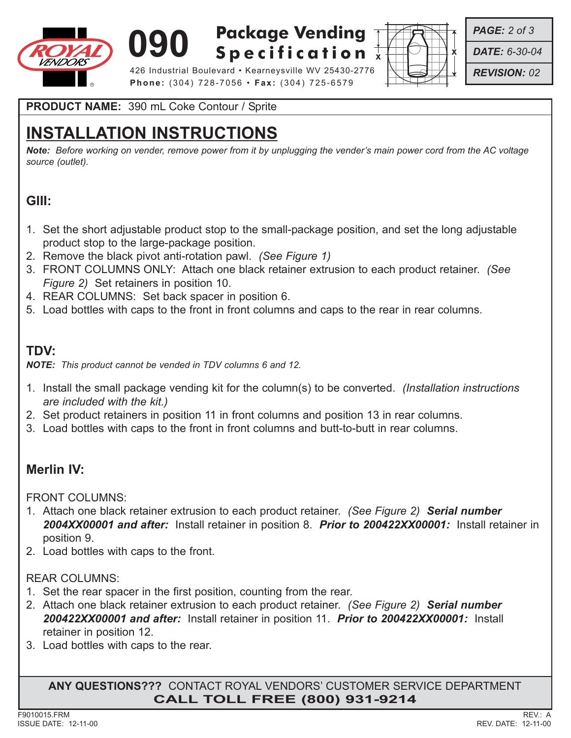

**090 Rackage Vending**<br> **Specification Package Vending**



*PAGE: 2 of 3*

*DATE: 6-30-04*

*REVISION: 02*

426 Industrial Boulevard • Kearneysville WV 25430-2776 **Phone:** (304) 728-7056 • **Fax:** (304) 725-6579

**PRODUCT NAME:** 390 mL Coke Contour / Sprite

# **INSTALLATION INSTRUCTIONS**

*Note: Before working on vender, remove power from it by unplugging the vender's main power cord from the AC voltage source (outlet).*

## **GIII:**

- 1. Set the short adjustable product stop to the small-package position, and set the long adjustable product stop to the large-package position.
- 2. Remove the black pivot anti-rotation pawl. *(See Figure 1)*
- 3. FRONT COLUMNS ONLY: Attach one black retainer extrusion to each product retainer. *(See Figure 2)* Set retainers in position 10.
- 4. REAR COLUMNS: Set back spacer in position 6.
- 5. Load bottles with caps to the front in front columns and caps to the rear in rear columns.

## **TDV:**

*NOTE: This product cannot be vended in TDV columns 6 and 12.*

- 1. Install the small package vending kit for the column(s) to be converted. *(Installation instructions are included with the kit.)*
- 2. Set product retainers in position 11 in front columns and position 13 in rear columns.
- 3. Load bottles with caps to the front in front columns and butt-to-butt in rear columns.

## **Merlin IV:**

FRONT COLUMNS:

- 1. Attach one black retainer extrusion to each product retainer. *(See Figure 2) Serial number 2004XX00001 and after:* Install retainer in position 8. *Prior to 200422XX00001:* Install retainer in position 9.
- 2. Load bottles with caps to the front.

### REAR COLUMNS:

- 1. Set the rear spacer in the first position, counting from the rear.
- 2. Attach one black retainer extrusion to each product retainer. *(See Figure 2) Serial number 200422XX00001 and after:* Install retainer in position 11. *Prior to 200422XX00001:* Install retainer in position 12.
- 3. Load bottles with caps to the rear.

**ANY QUESTIONS???** CONTACT ROYAL VENDORS' CUSTOMER SERVICE DEPARTMENT **CALL TOLL FREE (800) 931-9214**